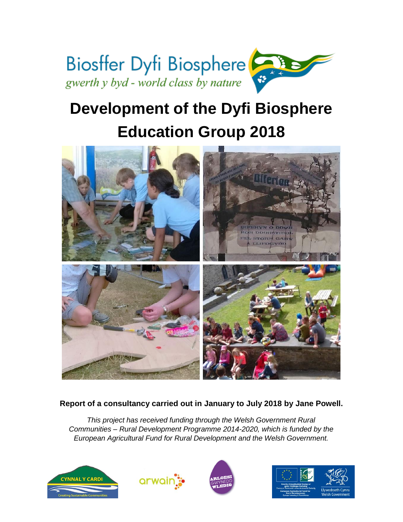

# **Development of the Dyfi Biosphere Education Group 2018**



# **Report of a consultancy carried out in January to July 2018 by Jane Powell.**

*This project has received funding through the Welsh Government Rural Communities – Rural Development Programme 2014-2020, which is funded by the European Agricultural Fund for Rural Development and the Welsh Government.*







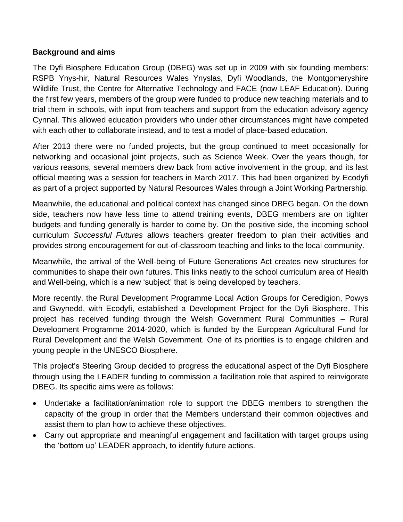#### **Background and aims**

The Dyfi Biosphere Education Group (DBEG) was set up in 2009 with six founding members: RSPB Ynys-hir, Natural Resources Wales Ynyslas, Dyfi Woodlands, the Montgomeryshire Wildlife Trust, the Centre for Alternative Technology and FACE (now LEAF Education). During the first few years, members of the group were funded to produce new teaching materials and to trial them in schools, with input from teachers and support from the education advisory agency Cynnal. This allowed education providers who under other circumstances might have competed with each other to collaborate instead, and to test a model of place-based education.

After 2013 there were no funded projects, but the group continued to meet occasionally for networking and occasional joint projects, such as Science Week. Over the years though, for various reasons, several members drew back from active involvement in the group, and its last official meeting was a session for teachers in March 2017. This had been organized by Ecodyfi as part of a project supported by Natural Resources Wales through a Joint Working Partnership.

Meanwhile, the educational and political context has changed since DBEG began. On the down side, teachers now have less time to attend training events, DBEG members are on tighter budgets and funding generally is harder to come by. On the positive side, the incoming school curriculum *Successful Futures* allows teachers greater freedom to plan their activities and provides strong encouragement for out-of-classroom teaching and links to the local community.

Meanwhile, the arrival of the Well-being of Future Generations Act creates new structures for communities to shape their own futures. This links neatly to the school curriculum area of Health and Well-being, which is a new 'subject' that is being developed by teachers.

More recently, the Rural Development Programme Local Action Groups for Ceredigion, Powys and Gwynedd, with Ecodyfi, established a Development Project for the Dyfi Biosphere. This project has received funding through the Welsh Government Rural Communities – Rural Development Programme 2014-2020, which is funded by the European Agricultural Fund for Rural Development and the Welsh Government. One of its priorities is to engage children and young people in the UNESCO Biosphere.

This project's Steering Group decided to progress the educational aspect of the Dyfi Biosphere through using the LEADER funding to commission a facilitation role that aspired to reinvigorate DBEG. Its specific aims were as follows:

- Undertake a facilitation/animation role to support the DBEG members to strengthen the capacity of the group in order that the Members understand their common objectives and assist them to plan how to achieve these objectives.
- Carry out appropriate and meaningful engagement and facilitation with target groups using the 'bottom up' LEADER approach, to identify future actions.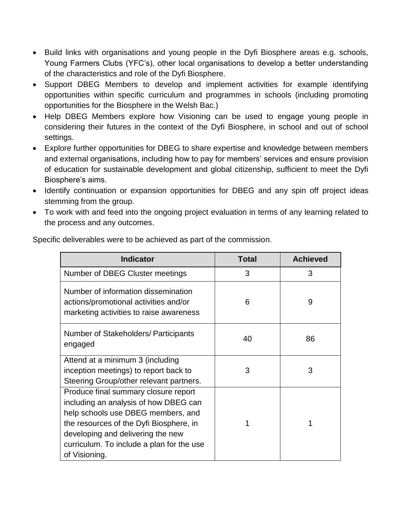- Build links with organisations and young people in the Dyfi Biosphere areas e.g. schools, Young Farmers Clubs (YFC's), other local organisations to develop a better understanding of the characteristics and role of the Dyfi Biosphere.
- Support DBEG Members to develop and implement activities for example identifying opportunities within specific curriculum and programmes in schools (including promoting opportunities for the Biosphere in the Welsh Bac.)
- Help DBEG Members explore how Visioning can be used to engage young people in considering their futures in the context of the Dyfi Biosphere, in school and out of school settings.
- Explore further opportunities for DBEG to share expertise and knowledge between members and external organisations, including how to pay for members' services and ensure provision of education for sustainable development and global citizenship, sufficient to meet the Dyfi Biosphere's aims.
- Identify continuation or expansion opportunities for DBEG and any spin off project ideas stemming from the group.
- To work with and feed into the ongoing project evaluation in terms of any learning related to the process and any outcomes.

| <b>Indicator</b>                                                                                                                                                                                                                                                  | <b>Total</b> | <b>Achieved</b> |
|-------------------------------------------------------------------------------------------------------------------------------------------------------------------------------------------------------------------------------------------------------------------|--------------|-----------------|
| Number of DBEG Cluster meetings                                                                                                                                                                                                                                   | 3            | 3               |
| Number of information dissemination<br>actions/promotional activities and/or<br>marketing activities to raise awareness                                                                                                                                           | 6            | 9               |
| Number of Stakeholders/ Participants<br>engaged                                                                                                                                                                                                                   | 40           | 86              |
| Attend at a minimum 3 (including<br>inception meetings) to report back to<br>Steering Group/other relevant partners.                                                                                                                                              | 3            | 3               |
| Produce final summary closure report<br>including an analysis of how DBEG can<br>help schools use DBEG members, and<br>the resources of the Dyfi Biosphere, in<br>developing and delivering the new<br>curriculum. To include a plan for the use<br>of Visioning. | 1            | 1               |

Specific deliverables were to be achieved as part of the commission.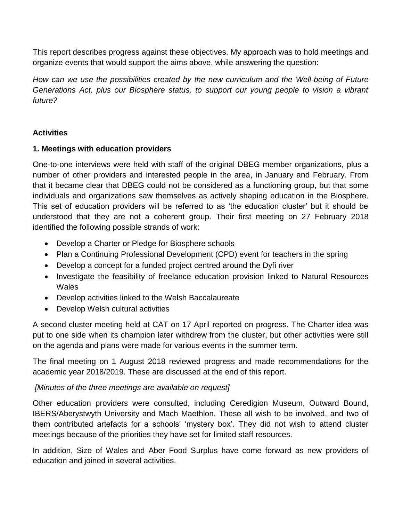This report describes progress against these objectives. My approach was to hold meetings and organize events that would support the aims above, while answering the question:

*How can we use the possibilities created by the new curriculum and the Well-being of Future Generations Act, plus our Biosphere status, to support our young people to vision a vibrant future?*

# **Activities**

## **1. Meetings with education providers**

One-to-one interviews were held with staff of the original DBEG member organizations, plus a number of other providers and interested people in the area, in January and February. From that it became clear that DBEG could not be considered as a functioning group, but that some individuals and organizations saw themselves as actively shaping education in the Biosphere. This set of education providers will be referred to as 'the education cluster' but it should be understood that they are not a coherent group. Their first meeting on 27 February 2018 identified the following possible strands of work:

- Develop a Charter or Pledge for Biosphere schools
- Plan a Continuing Professional Development (CPD) event for teachers in the spring
- Develop a concept for a funded project centred around the Dyfi river
- Investigate the feasibility of freelance education provision linked to Natural Resources **Wales**
- Develop activities linked to the Welsh Baccalaureate
- Develop Welsh cultural activities

A second cluster meeting held at CAT on 17 April reported on progress. The Charter idea was put to one side when its champion later withdrew from the cluster, but other activities were still on the agenda and plans were made for various events in the summer term.

The final meeting on 1 August 2018 reviewed progress and made recommendations for the academic year 2018/2019. These are discussed at the end of this report.

# *[Minutes of the three meetings are available on request]*

Other education providers were consulted, including Ceredigion Museum, Outward Bound, IBERS/Aberystwyth University and Mach Maethlon. These all wish to be involved, and two of them contributed artefacts for a schools' 'mystery box'. They did not wish to attend cluster meetings because of the priorities they have set for limited staff resources.

In addition, Size of Wales and Aber Food Surplus have come forward as new providers of education and joined in several activities.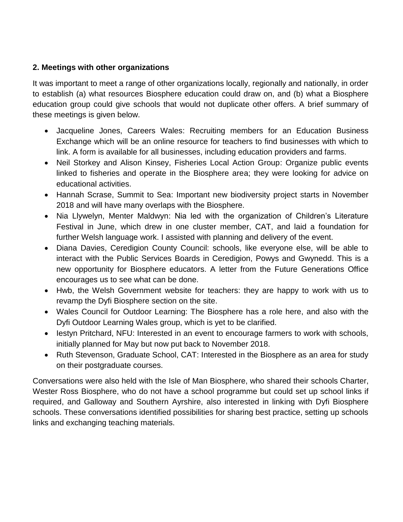## **2. Meetings with other organizations**

It was important to meet a range of other organizations locally, regionally and nationally, in order to establish (a) what resources Biosphere education could draw on, and (b) what a Biosphere education group could give schools that would not duplicate other offers. A brief summary of these meetings is given below.

- Jacqueline Jones, Careers Wales: Recruiting members for an Education Business Exchange which will be an online resource for teachers to find businesses with which to link. A form is available for all businesses, including education providers and farms.
- Neil Storkey and Alison Kinsey, Fisheries Local Action Group: Organize public events linked to fisheries and operate in the Biosphere area; they were looking for advice on educational activities.
- Hannah Scrase, Summit to Sea: Important new biodiversity project starts in November 2018 and will have many overlaps with the Biosphere.
- Nia Llywelyn, Menter Maldwyn: Nia led with the organization of Children's Literature Festival in June, which drew in one cluster member, CAT, and laid a foundation for further Welsh language work. I assisted with planning and delivery of the event.
- Diana Davies, Ceredigion County Council: schools, like everyone else, will be able to interact with the Public Services Boards in Ceredigion, Powys and Gwynedd. This is a new opportunity for Biosphere educators. A letter from the Future Generations Office encourages us to see what can be done.
- Hwb, the Welsh Government website for teachers: they are happy to work with us to revamp the Dyfi Biosphere section on the site.
- Wales Council for Outdoor Learning: The Biosphere has a role here, and also with the Dyfi Outdoor Learning Wales group, which is yet to be clarified.
- lestyn Pritchard, NFU: Interested in an event to encourage farmers to work with schools, initially planned for May but now put back to November 2018.
- Ruth Stevenson, Graduate School, CAT: Interested in the Biosphere as an area for study on their postgraduate courses.

Conversations were also held with the Isle of Man Biosphere, who shared their schools Charter, Wester Ross Biosphere, who do not have a school programme but could set up school links if required, and Galloway and Southern Ayrshire, also interested in linking with Dyfi Biosphere schools. These conversations identified possibilities for sharing best practice, setting up schools links and exchanging teaching materials.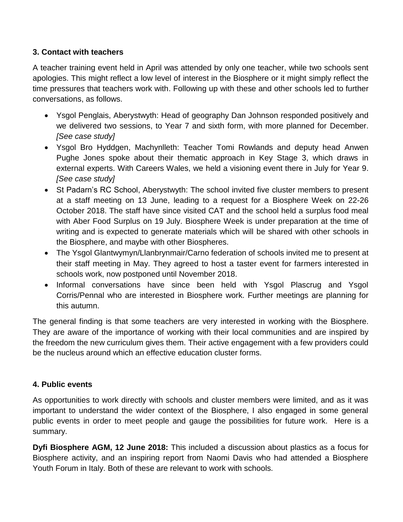#### **3. Contact with teachers**

A teacher training event held in April was attended by only one teacher, while two schools sent apologies. This might reflect a low level of interest in the Biosphere or it might simply reflect the time pressures that teachers work with. Following up with these and other schools led to further conversations, as follows.

- Ysgol Penglais, Aberystwyth: Head of geography Dan Johnson responded positively and we delivered two sessions, to Year 7 and sixth form, with more planned for December. *[See case study]*
- Ysgol Bro Hyddgen, Machynlleth: Teacher Tomi Rowlands and deputy head Anwen Pughe Jones spoke about their thematic approach in Key Stage 3, which draws in external experts. With Careers Wales, we held a visioning event there in July for Year 9. *[See case study]*
- St Padarn's RC School, Aberystwyth: The school invited five cluster members to present at a staff meeting on 13 June, leading to a request for a Biosphere Week on 22-26 October 2018. The staff have since visited CAT and the school held a surplus food meal with Aber Food Surplus on 19 July. Biosphere Week is under preparation at the time of writing and is expected to generate materials which will be shared with other schools in the Biosphere, and maybe with other Biospheres.
- The Ysgol Glantwymyn/Llanbrynmair/Carno federation of schools invited me to present at their staff meeting in May. They agreed to host a taster event for farmers interested in schools work, now postponed until November 2018.
- Informal conversations have since been held with Ysgol Plascrug and Ysgol Corris/Pennal who are interested in Biosphere work. Further meetings are planning for this autumn.

The general finding is that some teachers are very interested in working with the Biosphere. They are aware of the importance of working with their local communities and are inspired by the freedom the new curriculum gives them. Their active engagement with a few providers could be the nucleus around which an effective education cluster forms.

#### **4. Public events**

As opportunities to work directly with schools and cluster members were limited, and as it was important to understand the wider context of the Biosphere, I also engaged in some general public events in order to meet people and gauge the possibilities for future work. Here is a summary.

**Dyfi Biosphere AGM, 12 June 2018:** This included a discussion about plastics as a focus for Biosphere activity, and an inspiring report from Naomi Davis who had attended a Biosphere Youth Forum in Italy. Both of these are relevant to work with schools.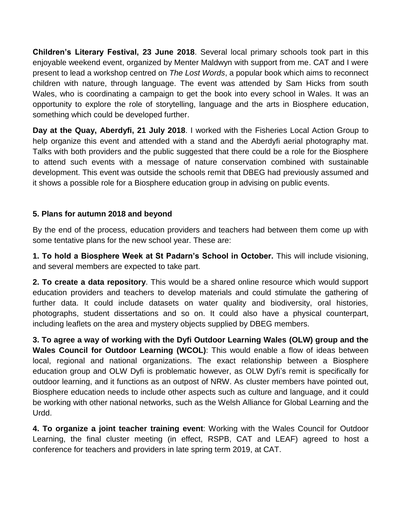**Children's Literary Festival, 23 June 2018**. Several local primary schools took part in this enjoyable weekend event, organized by Menter Maldwyn with support from me. CAT and I were present to lead a workshop centred on *The Lost Words*, a popular book which aims to reconnect children with nature, through language. The event was attended by Sam Hicks from south Wales, who is coordinating a campaign to get the book into every school in Wales. It was an opportunity to explore the role of storytelling, language and the arts in Biosphere education, something which could be developed further.

**Day at the Quay, Aberdyfi, 21 July 2018**. I worked with the Fisheries Local Action Group to help organize this event and attended with a stand and the Aberdyfi aerial photography mat. Talks with both providers and the public suggested that there could be a role for the Biosphere to attend such events with a message of nature conservation combined with sustainable development. This event was outside the schools remit that DBEG had previously assumed and it shows a possible role for a Biosphere education group in advising on public events.

## **5. Plans for autumn 2018 and beyond**

By the end of the process, education providers and teachers had between them come up with some tentative plans for the new school year. These are:

**1. To hold a Biosphere Week at St Padarn's School in October.** This will include visioning, and several members are expected to take part.

**2. To create a data repository**. This would be a shared online resource which would support education providers and teachers to develop materials and could stimulate the gathering of further data. It could include datasets on water quality and biodiversity, oral histories, photographs, student dissertations and so on. It could also have a physical counterpart, including leaflets on the area and mystery objects supplied by DBEG members.

**3. To agree a way of working with the Dyfi Outdoor Learning Wales (OLW) group and the Wales Council for Outdoor Learning (WCOL)**: This would enable a flow of ideas between local, regional and national organizations. The exact relationship between a Biosphere education group and OLW Dyfi is problematic however, as OLW Dyfi's remit is specifically for outdoor learning, and it functions as an outpost of NRW. As cluster members have pointed out, Biosphere education needs to include other aspects such as culture and language, and it could be working with other national networks, such as the Welsh Alliance for Global Learning and the Urdd.

**4. To organize a joint teacher training event**: Working with the Wales Council for Outdoor Learning, the final cluster meeting (in effect, RSPB, CAT and LEAF) agreed to host a conference for teachers and providers in late spring term 2019, at CAT.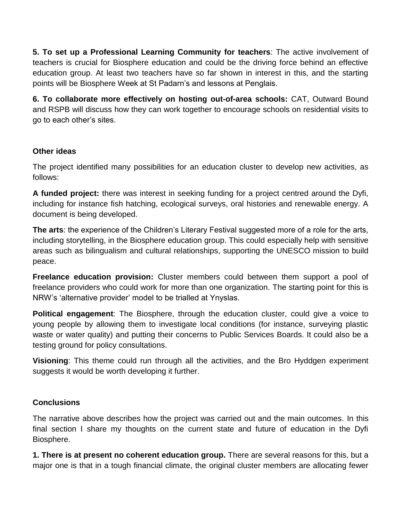**5. To set up a Professional Learning Community for teachers**: The active involvement of teachers is crucial for Biosphere education and could be the driving force behind an effective education group. At least two teachers have so far shown in interest in this, and the starting points will be Biosphere Week at St Padarn's and lessons at Penglais.

**6. To collaborate more effectively on hosting out-of-area schools:** CAT, Outward Bound and RSPB will discuss how they can work together to encourage schools on residential visits to go to each other's sites.

## **Other ideas**

The project identified many possibilities for an education cluster to develop new activities, as follows:

**A funded project:** there was interest in seeking funding for a project centred around the Dyfi, including for instance fish hatching, ecological surveys, oral histories and renewable energy. A document is being developed.

**The arts**: the experience of the Children's Literary Festival suggested more of a role for the arts, including storytelling, in the Biosphere education group. This could especially help with sensitive areas such as bilingualism and cultural relationships, supporting the UNESCO mission to build peace.

**Freelance education provision:** Cluster members could between them support a pool of freelance providers who could work for more than one organization. The starting point for this is NRW's 'alternative provider' model to be trialled at Ynyslas.

**Political engagement**: The Biosphere, through the education cluster, could give a voice to young people by allowing them to investigate local conditions (for instance, surveying plastic waste or water quality) and putting their concerns to Public Services Boards. It could also be a testing ground for policy consultations.

**Visioning**: This theme could run through all the activities, and the Bro Hyddgen experiment suggests it would be worth developing it further.

# **Conclusions**

The narrative above describes how the project was carried out and the main outcomes. In this final section I share my thoughts on the current state and future of education in the Dyfi Biosphere.

**1. There is at present no coherent education group.** There are several reasons for this, but a major one is that in a tough financial climate, the original cluster members are allocating fewer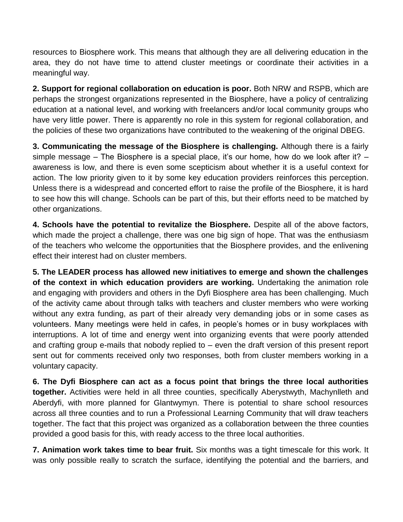resources to Biosphere work. This means that although they are all delivering education in the area, they do not have time to attend cluster meetings or coordinate their activities in a meaningful way.

**2. Support for regional collaboration on education is poor.** Both NRW and RSPB, which are perhaps the strongest organizations represented in the Biosphere, have a policy of centralizing education at a national level, and working with freelancers and/or local community groups who have very little power. There is apparently no role in this system for regional collaboration, and the policies of these two organizations have contributed to the weakening of the original DBEG.

**3. Communicating the message of the Biosphere is challenging.** Although there is a fairly simple message – The Biosphere is a special place, it's our home, how do we look after it? – awareness is low, and there is even some scepticism about whether it is a useful context for action. The low priority given to it by some key education providers reinforces this perception. Unless there is a widespread and concerted effort to raise the profile of the Biosphere, it is hard to see how this will change. Schools can be part of this, but their efforts need to be matched by other organizations.

**4. Schools have the potential to revitalize the Biosphere.** Despite all of the above factors, which made the project a challenge, there was one big sign of hope. That was the enthusiasm of the teachers who welcome the opportunities that the Biosphere provides, and the enlivening effect their interest had on cluster members.

**5. The LEADER process has allowed new initiatives to emerge and shown the challenges of the context in which education providers are working.** Undertaking the animation role and engaging with providers and others in the Dyfi Biosphere area has been challenging. Much of the activity came about through talks with teachers and cluster members who were working without any extra funding, as part of their already very demanding jobs or in some cases as volunteers. Many meetings were held in cafes, in people's homes or in busy workplaces with interruptions. A lot of time and energy went into organizing events that were poorly attended and crafting group e-mails that nobody replied to – even the draft version of this present report sent out for comments received only two responses, both from cluster members working in a voluntary capacity.

**6. The Dyfi Biosphere can act as a focus point that brings the three local authorities together.** Activities were held in all three counties, specifically Aberystwyth, Machynlleth and Aberdyfi, with more planned for Glantwymyn. There is potential to share school resources across all three counties and to run a Professional Learning Community that will draw teachers together. The fact that this project was organized as a collaboration between the three counties provided a good basis for this, with ready access to the three local authorities.

**7. Animation work takes time to bear fruit.** Six months was a tight timescale for this work. It was only possible really to scratch the surface, identifying the potential and the barriers, and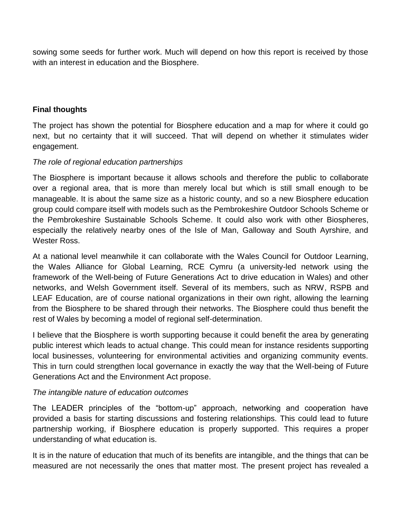sowing some seeds for further work. Much will depend on how this report is received by those with an interest in education and the Biosphere.

#### **Final thoughts**

The project has shown the potential for Biosphere education and a map for where it could go next, but no certainty that it will succeed. That will depend on whether it stimulates wider engagement.

#### *The role of regional education partnerships*

The Biosphere is important because it allows schools and therefore the public to collaborate over a regional area, that is more than merely local but which is still small enough to be manageable. It is about the same size as a historic county, and so a new Biosphere education group could compare itself with models such as the Pembrokeshire Outdoor Schools Scheme or the Pembrokeshire Sustainable Schools Scheme. It could also work with other Biospheres, especially the relatively nearby ones of the Isle of Man, Galloway and South Ayrshire, and Wester Ross.

At a national level meanwhile it can collaborate with the Wales Council for Outdoor Learning, the Wales Alliance for Global Learning, RCE Cymru (a university-led network using the framework of the Well-being of Future Generations Act to drive education in Wales) and other networks, and Welsh Government itself. Several of its members, such as NRW, RSPB and LEAF Education, are of course national organizations in their own right, allowing the learning from the Biosphere to be shared through their networks. The Biosphere could thus benefit the rest of Wales by becoming a model of regional self-determination.

I believe that the Biosphere is worth supporting because it could benefit the area by generating public interest which leads to actual change. This could mean for instance residents supporting local businesses, volunteering for environmental activities and organizing community events. This in turn could strengthen local governance in exactly the way that the Well-being of Future Generations Act and the Environment Act propose.

#### *The intangible nature of education outcomes*

The LEADER principles of the "bottom-up" approach, networking and cooperation have provided a basis for starting discussions and fostering relationships. This could lead to future partnership working, if Biosphere education is properly supported. This requires a proper understanding of what education is.

It is in the nature of education that much of its benefits are intangible, and the things that can be measured are not necessarily the ones that matter most. The present project has revealed a